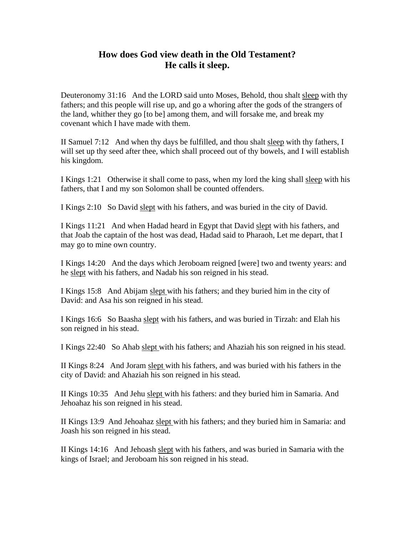## **How does God view death in the Old Testament? He calls it sleep.**

Deuteronomy 31:16 And the LORD said unto Moses, Behold, thou shalt sleep with thy fathers; and this people will rise up, and go a whoring after the gods of the strangers of the land, whither they go [to be] among them, and will forsake me, and break my covenant which I have made with them.

II Samuel 7:12 And when thy days be fulfilled, and thou shalt sleep with thy fathers, I will set up thy seed after thee, which shall proceed out of thy bowels, and I will establish his kingdom.

I Kings 1:21 Otherwise it shall come to pass, when my lord the king shall sleep with his fathers, that I and my son Solomon shall be counted offenders.

I Kings 2:10 So David slept with his fathers, and was buried in the city of David.

I Kings 11:21 And when Hadad heard in Egypt that David slept with his fathers, and that Joab the captain of the host was dead, Hadad said to Pharaoh, Let me depart, that I may go to mine own country.

I Kings 14:20 And the days which Jeroboam reigned [were] two and twenty years: and he slept with his fathers, and Nadab his son reigned in his stead.

I Kings 15:8 And Abijam slept with his fathers; and they buried him in the city of David: and Asa his son reigned in his stead.

I Kings 16:6 So Baasha slept with his fathers, and was buried in Tirzah: and Elah his son reigned in his stead.

I Kings 22:40 So Ahab slept with his fathers; and Ahaziah his son reigned in his stead.

II Kings 8:24 And Joram slept with his fathers, and was buried with his fathers in the city of David: and Ahaziah his son reigned in his stead.

II Kings 10:35 And Jehu slept with his fathers: and they buried him in Samaria. And Jehoahaz his son reigned in his stead.

II Kings 13:9 And Jehoahaz slept with his fathers; and they buried him in Samaria: and Joash his son reigned in his stead.

II Kings 14:16 And Jehoash slept with his fathers, and was buried in Samaria with the kings of Israel; and Jeroboam his son reigned in his stead.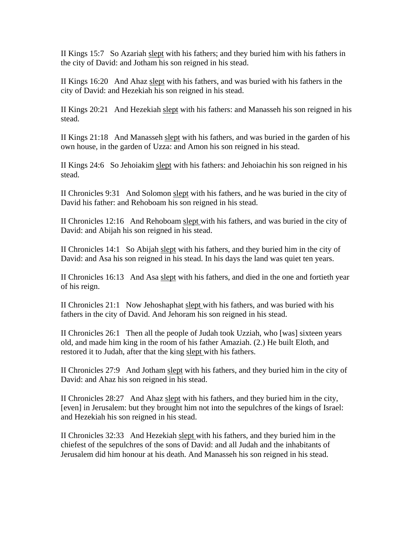II Kings 15:7 So Azariah slept with his fathers; and they buried him with his fathers in the city of David: and Jotham his son reigned in his stead.

II Kings 16:20 And Ahaz slept with his fathers, and was buried with his fathers in the city of David: and Hezekiah his son reigned in his stead.

II Kings 20:21 And Hezekiah slept with his fathers: and Manasseh his son reigned in his stead.

II Kings 21:18 And Manasseh slept with his fathers, and was buried in the garden of his own house, in the garden of Uzza: and Amon his son reigned in his stead.

II Kings 24:6 So Jehoiakim slept with his fathers: and Jehoiachin his son reigned in his stead.

II Chronicles 9:31 And Solomon slept with his fathers, and he was buried in the city of David his father: and Rehoboam his son reigned in his stead.

II Chronicles 12:16 And Rehoboam slept with his fathers, and was buried in the city of David: and Abijah his son reigned in his stead.

II Chronicles 14:1 So Abijah slept with his fathers, and they buried him in the city of David: and Asa his son reigned in his stead. In his days the land was quiet ten years.

II Chronicles 16:13 And Asa slept with his fathers, and died in the one and fortieth year of his reign.

II Chronicles 21:1 Now Jehoshaphat slept with his fathers, and was buried with his fathers in the city of David. And Jehoram his son reigned in his stead.

II Chronicles 26:1 Then all the people of Judah took Uzziah, who [was] sixteen years old, and made him king in the room of his father Amaziah. (2.) He built Eloth, and restored it to Judah, after that the king slept with his fathers.

II Chronicles 27:9 And Jotham slept with his fathers, and they buried him in the city of David: and Ahaz his son reigned in his stead.

II Chronicles 28:27 And Ahaz slept with his fathers, and they buried him in the city, [even] in Jerusalem: but they brought him not into the sepulchres of the kings of Israel: and Hezekiah his son reigned in his stead.

II Chronicles 32:33 And Hezekiah slept with his fathers, and they buried him in the chiefest of the sepulchres of the sons of David: and all Judah and the inhabitants of Jerusalem did him honour at his death. And Manasseh his son reigned in his stead.